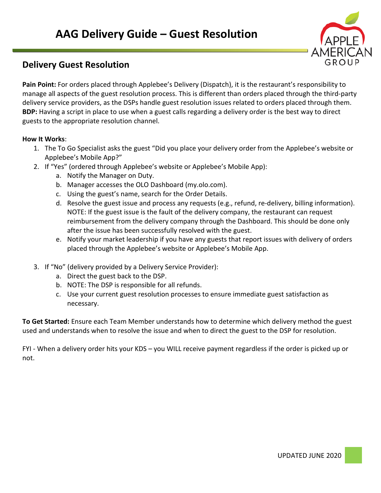

# **Delivery Guest Resolution**

**Pain Point:** For orders placed through Applebee's Delivery (Dispatch), it is the restaurant's responsibility to manage all aspects of the guest resolution process. This is different than orders placed through the third-party delivery service providers, as the DSPs handle guest resolution issues related to orders placed through them. **BDP:** Having a script in place to use when a guest calls regarding a delivery order is the best way to direct guests to the appropriate resolution channel.

## **How It Works**:

- 1. The To Go Specialist asks the guest "Did you place your delivery order from the Applebee's website or Applebee's Mobile App?"
- 2. If "Yes" (ordered through Applebee's website or Applebee's Mobile App):
	- a. Notify the Manager on Duty.
	- b. Manager accesses the OLO Dashboard (my.olo.com).
	- c. Using the guest's name, search for the Order Details.
	- d. Resolve the guest issue and process any requests (e.g., refund, re-delivery, billing information). NOTE: If the guest issue is the fault of the delivery company, the restaurant can request reimbursement from the delivery company through the Dashboard. This should be done only after the issue has been successfully resolved with the guest.
	- e. Notify your market leadership if you have any guests that report issues with delivery of orders placed through the Applebee's website or Applebee's Mobile App.
- 3. If "No" (delivery provided by a Delivery Service Provider):
	- a. Direct the guest back to the DSP.
	- b. NOTE: The DSP is responsible for all refunds.
	- c. Use your current guest resolution processes to ensure immediate guest satisfaction as necessary.

**To Get Started:** Ensure each Team Member understands how to determine which delivery method the guest used and understands when to resolve the issue and when to direct the guest to the DSP for resolution.

FYI - When a delivery order hits your KDS – you WILL receive payment regardless if the order is picked up or not.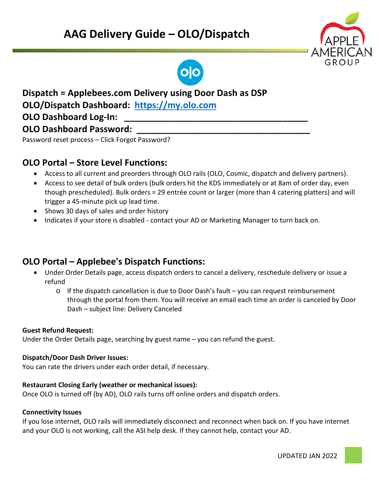# **AAG Delivery Guide – OLO/Dispatch**





# **Dispatch = Applebees.com Delivery using Door Dash as DSP**

**OLO/Dispatch Dashboard: [https://my.olo.com](https://my.olo.com/)**

# **OLO Dashboard Log-In:**

# **OLO Dashboard Password:**

Password reset process – Click Forgot Password?

# **OLO Portal – Store Level Functions:**

- Access to all current and preorders through OLO rails (OLO, Cosmic, dispatch and delivery partners).
- Access to see detail of bulk orders (bulk orders hit the KDS immediately or at 8am of order day, even though prescheduled). Bulk orders = 29 entrée count or larger (more than 4 catering platters) and will trigger a 45-minute pick up lead time.
- Shows 30 days of sales and order history
- Indicates if your store is disabled contact your AD or Marketing Manager to turn back on.

# **OLO Portal – Applebee's Dispatch Functions:**

- Under Order Details page, access dispatch orders to cancel a delivery, reschedule delivery or issue a refund
	- $\circ$  If the dispatch cancellation is due to Door Dash's fault you can request reimbursement through the portal from them. You will receive an email each time an order is canceled by Door Dash – subject line: Delivery Canceled

## **Guest Refund Request:**

Under the Order Details page, searching by guest name – you can refund the guest.

## **Dispatch/Door Dash Driver Issues:**

You can rate the drivers under each order detail, if necessary.

## **Restaurant Closing Early (weather or mechanical issues):**

Once OLO is turned off (by AD), OLO rails turns off online orders and dispatch orders.

## **Connectivity Issues**

If you lose internet, OLO rails will immediately disconnect and reconnect when back on. If you have internet and your OLO is not working, call the ASI help desk. If they cannot help, contact your AD.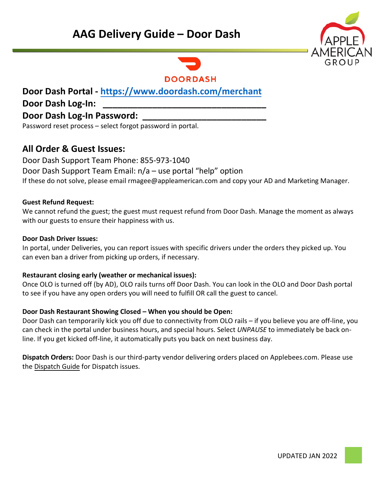# **AAG Delivery Guide – Door Dash**





# **Door Dash Portal -<https://www.doordash.com/merchant>**

# **Door Dash Log-In: \_\_\_\_\_\_\_\_\_\_\_\_\_\_\_\_\_\_\_\_\_\_\_\_\_\_\_\_\_\_\_\_\_**

# **Door Dash Log-In Password: \_\_\_\_\_\_\_\_\_\_\_\_\_\_\_\_\_\_\_\_\_\_\_\_\_**

Password reset process – select forgot password in portal.

# **All Order & Guest Issues:**

Door Dash Support Team Phone: 855-973-1040 Door Dash Support Team Email: n/a – use portal "help" option If these do not solve, please email [rmagee@appleamerican.com](mailto:JDonnelly@appleamerican.com) and copy your AD and Marketing Manager.

# **Guest Refund Request:**

We cannot refund the guest; the guest must request refund from Door Dash. Manage the moment as always with our guests to ensure their happiness with us.

## **Door Dash Driver Issues:**

In portal, under Deliveries, you can report issues with specific drivers under the orders they picked up. You can even ban a driver from picking up orders, if necessary.

## **Restaurant closing early (weather or mechanical issues):**

Once OLO is turned off (by AD), OLO rails turns off Door Dash. You can look in the OLO and Door Dash portal to see if you have any open orders you will need to fulfill OR call the guest to cancel.

## **Door Dash Restaurant Showing Closed – When you should be Open:**

Door Dash can temporarily kick you off due to connectivity from OLO rails – if you believe you are off-line, you can check in the portal under business hours, and special hours. Select *UNPAUSE* to immediately be back online. If you get kicked off-line, it automatically puts you back on next business day.

**Dispatch Orders:** Door Dash is our third-party vendor delivering orders placed on Applebees.com. Please use the Dispatch Guide for Dispatch issues.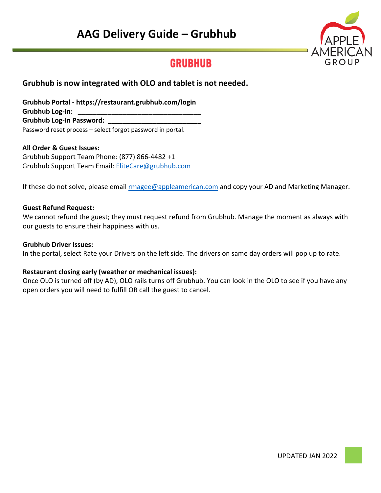# **AAG Delivery Guide – Grubhub**



# **GRUBHUB**

# **Grubhub is now integrated with OLO and tablet is not needed.**

**Grubhub Portal - https://restaurant.grubhub.com/login** Grubhub Log-In: Grubhub Log-In Password: Password reset process – select f[orgot password in portal.](mailto:EliteCare@grubhub.com) 

#### **All Order & Guest Issues:**

Grubhub Support Team Phone: (877) 866-4482 +1 Grubhub Support Team Email: EliteCare@grubhub.com

If these do not solve, please email rmagee[@appleamerican.com](mailto:JDonnelly@appleamerican.com) and copy your AD and Marketing Manager.

#### **Guest Refund Request:**

We cannot refund the guest; they must request refund from Grubhub. Manage the moment as always with our guests to ensure their happiness with us.

#### **Grubhub Driver Issues:**

In the portal, select Rate your Drivers on the left side. The drivers on same day orders will pop up to rate.

#### **Restaurant closing early (weather or mechanical issues):**

Once OLO is turned off (by AD), OLO rails turns off Grubhub. You can look in the OLO to see if you have any open orders you will need to fulfill OR call the guest to cancel.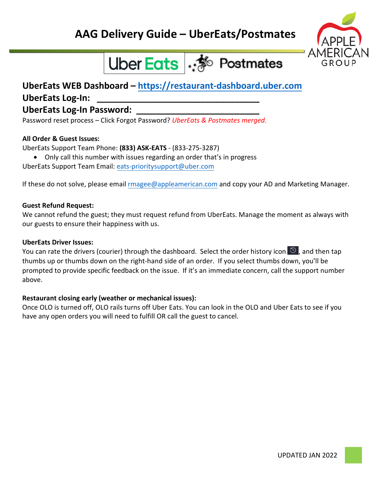

# Uber Eats : <sup>36</sup> Postmates

# **UberEats WEB Dashboard – [https://restaurant-dashboard.uber.com](https://restaurant-dashboard.uber.com/)**

# **UberEats Log-In: \_\_\_\_\_\_\_\_\_\_\_\_\_\_\_\_\_\_\_\_\_\_\_\_\_\_\_\_\_\_\_\_\_**

# **UberEats Log-In Password: \_\_\_\_\_\_\_\_\_\_\_\_\_\_\_\_\_\_\_\_\_\_\_\_\_**

Password reset process – Click Forgot Password? *UberEats & Postmates merged.* 

# **All Order & Guest Issues:**

UberEats Support Team Phone: **(833) ASK-EATS** - (833-275-3287)

• Only call this number with issues regarding an order that's in progress UberEats Support Team Email: [eats-prioritysupport@uber.com](mailto:eats-prioritysupport@uber.com) 

If these do not solve, please email rmagee[@appleamerican.com](mailto:JDonnelly@appleamerican.com) and copy your AD and Marketing Manager.

# **Guest Refund Request:**

We cannot refund the guest; they must request refund from UberEats. Manage the moment as always with our guests to ensure their happiness with us.

## **UberEats Driver Issues:**

You can rate the drivers (courier) through the dashboard. Select the order history icon  $\Im$ , and then tap thumbs up or thumbs down on the right-hand side of an order. If you select thumbs down, you'll be prompted to provide specific feedback on the issue. If it's an immediate concern, call the support number above.

# **Restaurant closing early (weather or mechanical issues):**

Once OLO is turned off, OLO rails turns off Uber Eats. You can look in the OLO and Uber Eats to see if you have any open orders you will need to fulfill OR call the guest to cancel.